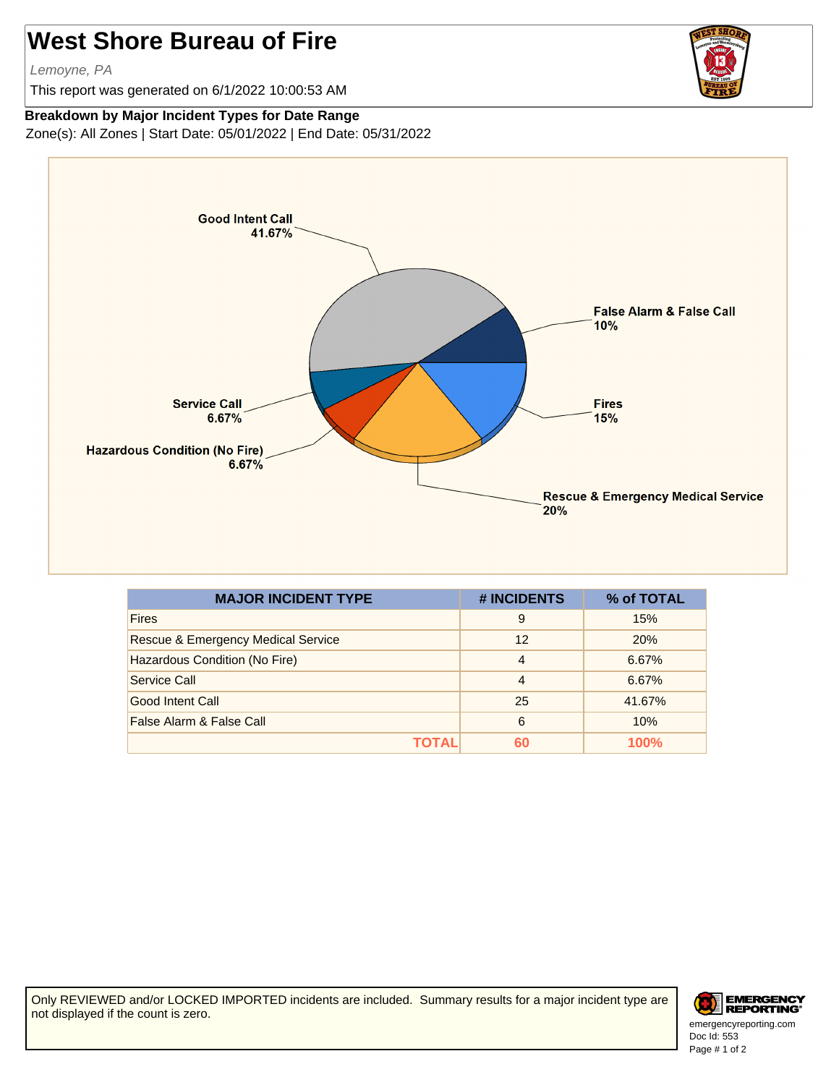## **West Shore Bureau of Fire**

Lemoyne, PA

This report was generated on 6/1/2022 10:00:53 AM

## **Breakdown by Major Incident Types for Date Range**

Zone(s): All Zones | Start Date: 05/01/2022 | End Date: 05/31/2022



| <b>MAJOR INCIDENT TYPE</b>                    | # INCIDENTS    | % of TOTAL |
|-----------------------------------------------|----------------|------------|
| <b>Fires</b>                                  | 9              | 15%        |
| <b>Rescue &amp; Emergency Medical Service</b> | 12             | 20%        |
| Hazardous Condition (No Fire)                 | $\overline{4}$ | 6.67%      |
| Service Call                                  | $\overline{4}$ | 6.67%      |
| Good Intent Call                              | 25             | 41.67%     |
| False Alarm & False Call                      | 6              | 10%        |
| ΤΩΤΑΙ                                         | 60             | 100%       |

Only REVIEWED and/or LOCKED IMPORTED incidents are included. Summary results for a major incident type are not displayed if the count is zero.



Doc Id: 553 emergencyreporting.com Page # 1 of 2